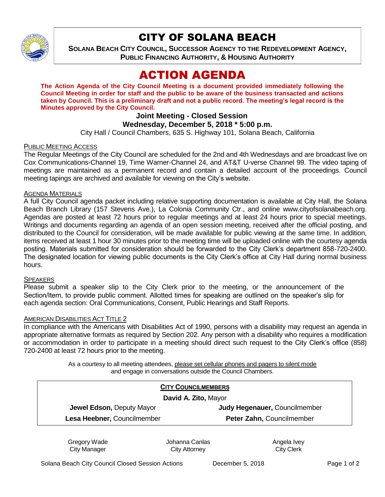

# CITY OF SOLANA BEACH

**SOLANA BEACH CITY COUNCIL, SUCCESSOR AGENCY TO THE REDEVELOPMENT AGENCY, PUBLIC FINANCING AUTHORITY, & HOUSING AUTHORITY**

# ACTION AGENDA

**The Action Agenda of the City Council Meeting is a document provided immediately following the Council Meeting in order for staff and the public to be aware of the business transacted and actions taken by Council. This is a preliminary draft and not a public record. The meeting's legal record is the Minutes approved by the City Council.**

# **Joint Meeting - Closed Session**

## **Wednesday, December 5, 2018 \* 5:00 p.m.**

City Hall / Council Chambers, 635 S. Highway 101, Solana Beach, California

## PUBLIC MEETING ACCESS

The Regular Meetings of the City Council are scheduled for the 2nd and 4th Wednesdays and are broadcast live on Cox Communications-Channel 19, Time Warner-Channel 24, and AT&T U-verse Channel 99. The video taping of meetings are maintained as a permanent record and contain a detailed account of the proceedings. Council meeting tapings are archived and available for viewing on the City's website.

### AGENDA MATERIALS

A full City Council agenda packet including relative supporting documentation is available at City Hall, the Solana Beach Branch Library (157 Stevens Ave.), La Colonia Community Ctr., and online www.cityofsolanabeach.org. Agendas are posted at least 72 hours prior to regular meetings and at least 24 hours prior to special meetings. Writings and documents regarding an agenda of an open session meeting, received after the official posting, and distributed to the Council for consideration, will be made available for public viewing at the same time. In addition, items received at least 1 hour 30 minutes prior to the meeting time will be uploaded online with the courtesy agenda posting. Materials submitted for consideration should be forwarded to the City Clerk's department 858-720-2400. The designated location for viewing public documents is the City Clerk's office at City Hall during normal business hours.

### **SPEAKERS**

Please submit a speaker slip to the City Clerk prior to the meeting, or the announcement of the Section/Item, to provide public comment. Allotted times for speaking are outlined on the speaker's slip for each agenda section: Oral Communications, Consent, Public Hearings and Staff Reports.

### AMERICAN DISABILITIES ACT TITLE 2

In compliance with the Americans with Disabilities Act of 1990, persons with a disability may request an agenda in appropriate alternative formats as required by Section 202. Any person with a disability who requires a modification or accommodation in order to participate in a meeting should direct such request to the City Clerk's office (858) 720-2400 at least 72 hours prior to the meeting.

> As a courtesy to all meeting attendees, please set cellular phones and pagers to silent mode and engage in conversations outside the Council Chambers.

| <b>CITY COUNCILMEMBERS</b><br>David A. Zito, Mayor |                           |
|----------------------------------------------------|---------------------------|
|                                                    |                           |
| Lesa Heebner, Councilmember                        | Peter Zahn, Councilmember |

Gregory Wade City Manager

Johanna Canlas City Attorney

Angela Ivey City Clerk